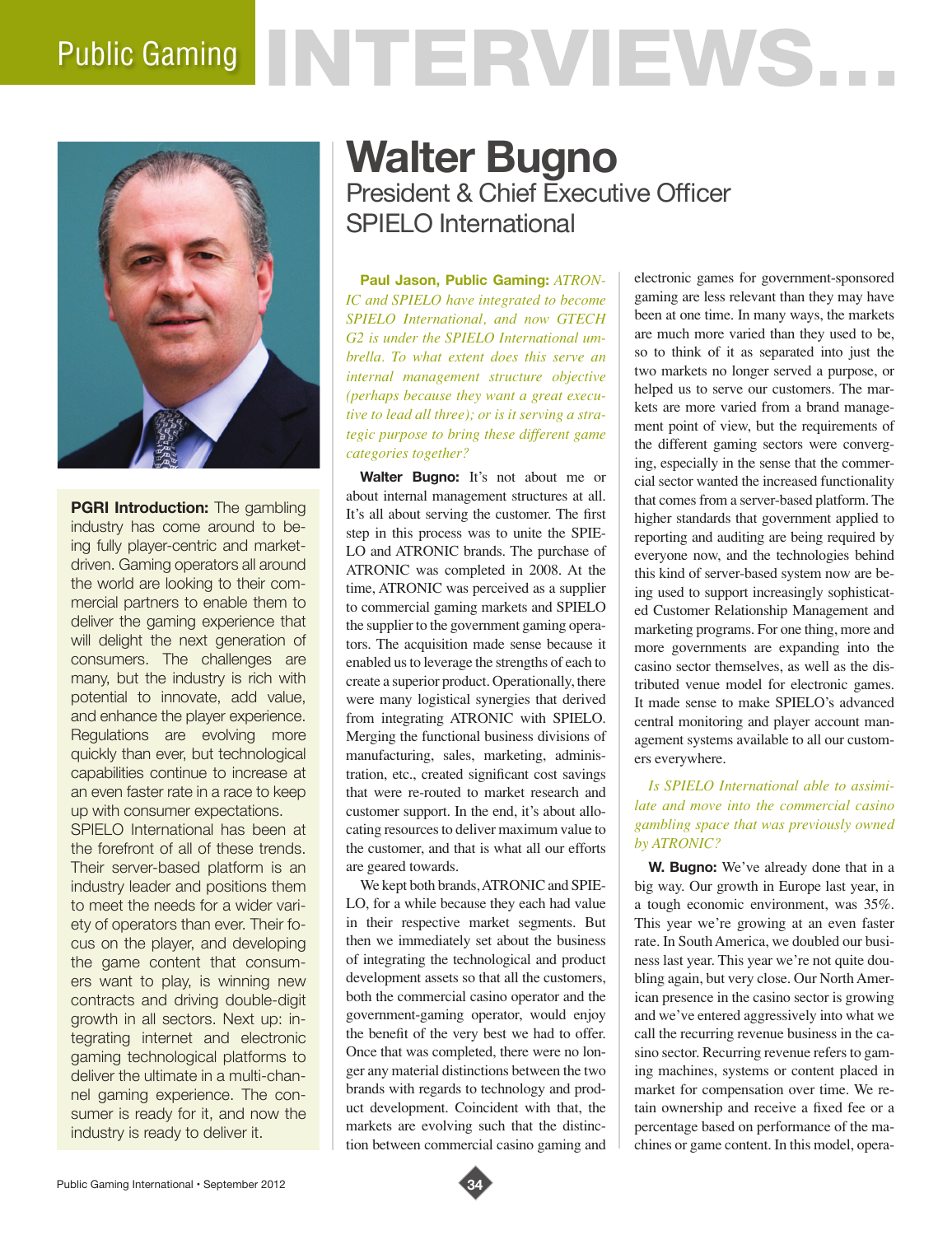# Public Gaming NTERVIEWS.



**PGRI Introduction:** The gambling industry has come around to being fully player-centric and marketdriven. Gaming operators all around the world are looking to their commercial partners to enable them to deliver the gaming experience that will delight the next generation of consumers. The challenges are many, but the industry is rich with potential to innovate, add value, and enhance the player experience. Regulations are evolving more quickly than ever, but technological capabilities continue to increase at an even faster rate in a race to keep up with consumer expectations. SPIELO International has been at the forefront of all of these trends. Their server-based platform is an industry leader and positions them to meet the needs for a wider variety of operators than ever. Their focus on the player, and developing the game content that consumers want to play, is winning new contracts and driving double-digit growth in all sectors. Next up: integrating internet and electronic gaming technological platforms to deliver the ultimate in a multi-channel gaming experience. The consumer is ready for it, and now the industry is ready to deliver it.

# **Walter Bugno** President & Chief Executive Officer SPIELO International

**Paul Jason, Public Gaming:** *ATRON-IC and SPIELO have integrated to become SPIELO International, and now GTECH G2 is under the SPIELO International umbrella. To what extent does this serve an internal management structure objective (perhaps because they want a great executive to lead all three); or is it serving a strategic purpose to bring these different game categories together?*

**Walter Bugno:** It's not about me or about internal management structures at all. It's all about serving the customer. The first step in this process was to unite the SPIE-LO and ATRONIC brands. The purchase of ATRONIC was completed in 2008. At the time, ATRONIC was perceived as a supplier to commercial gaming markets and SPIELO the supplier to the government gaming operators. The acquisition made sense because it enabled us to leverage the strengths of each to create a superior product. Operationally, there were many logistical synergies that derived from integrating ATRONIC with SPIELO. Merging the functional business divisions of manufacturing, sales, marketing, administration, etc., created significant cost savings that were re-routed to market research and customer support. In the end, it's about allocating resources to deliver maximum value to the customer, and that is what all our efforts are geared towards.

We kept both brands, ATRONIC and SPIE-LO, for a while because they each had value in their respective market segments. But then we immediately set about the business of integrating the technological and product development assets so that all the customers, both the commercial casino operator and the government-gaming operator, would enjoy the benefit of the very best we had to offer. Once that was completed, there were no longer any material distinctions between the two brands with regards to technology and product development. Coincident with that, the markets are evolving such that the distinction between commercial casino gaming and electronic games for government-sponsored gaming are less relevant than they may have been at one time. In many ways, the markets are much more varied than they used to be, so to think of it as separated into just the two markets no longer served a purpose, or helped us to serve our customers. The markets are more varied from a brand management point of view, but the requirements of the different gaming sectors were converging, especially in the sense that the commercial sector wanted the increased functionality that comes from a server-based platform. The higher standards that government applied to reporting and auditing are being required by everyone now, and the technologies behind this kind of server-based system now are being used to support increasingly sophisticated Customer Relationship Management and marketing programs. For one thing, more and more governments are expanding into the casino sector themselves, as well as the distributed venue model for electronic games. It made sense to make SPIELO's advanced central monitoring and player account management systems available to all our customers everywhere.

# *Is SPIELO International able to assimilate and move into the commercial casino gambling space that was previously owned by ATRONIC?*

**W. Bugno:** We've already done that in a big way. Our growth in Europe last year, in a tough economic environment, was 35%. This year we're growing at an even faster rate. In South America, we doubled our business last year. This year we're not quite doubling again, but very close. Our North American presence in the casino sector is growing and we've entered aggressively into what we call the recurring revenue business in the casino sector. Recurring revenue refers to gaming machines, systems or content placed in market for compensation over time. We retain ownership and receive a fixed fee or a percentage based on performance of the machines or game content. In this model, opera-

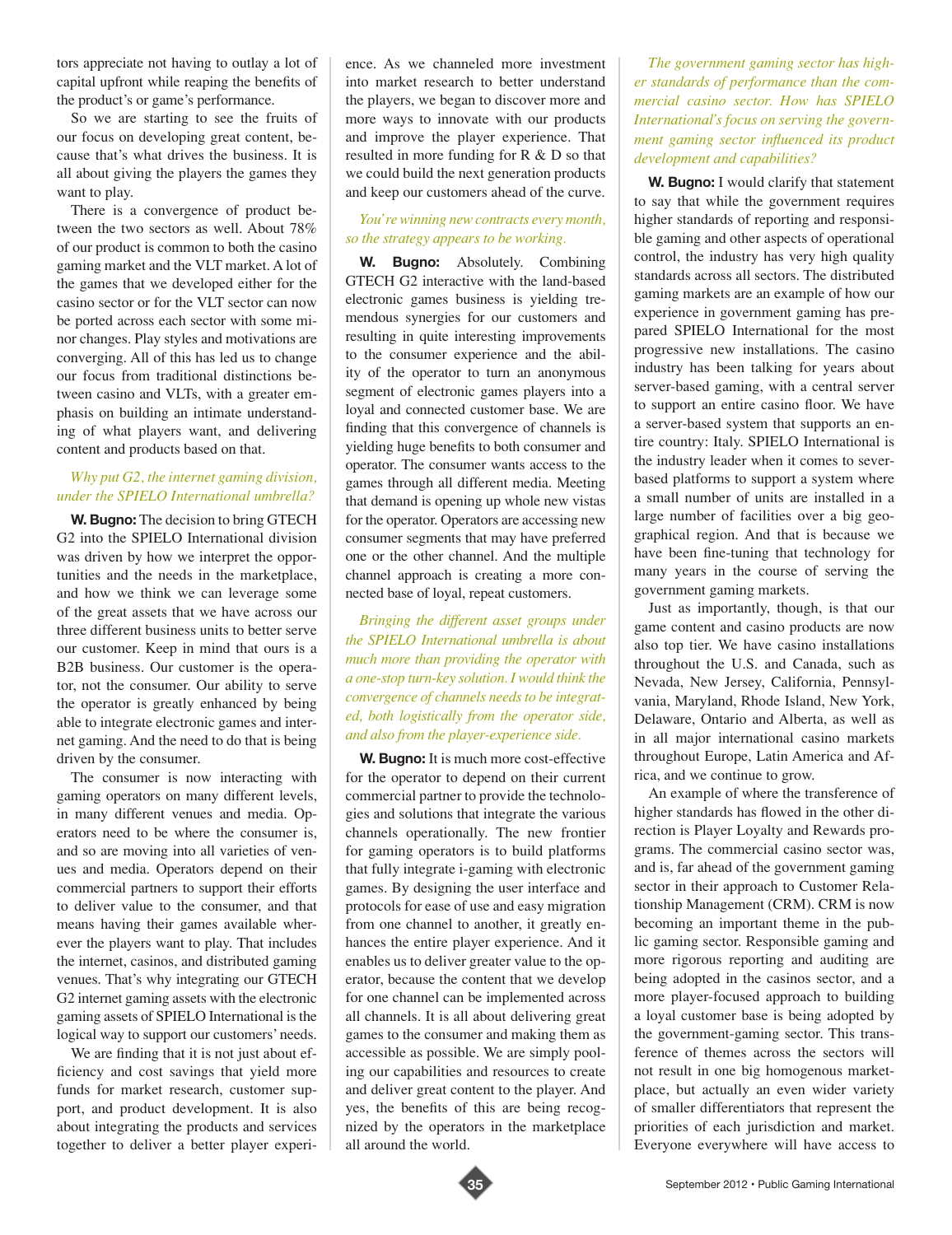tors appreciate not having to outlay a lot of capital upfront while reaping the benefits of the product's or game's performance.

So we are starting to see the fruits of our focus on developing great content, because that's what drives the business. It is all about giving the players the games they want to play.

There is a convergence of product between the two sectors as well. About 78% of our product is common to both the casino gaming market and the VLT market. A lot of the games that we developed either for the casino sector or for the VLT sector can now be ported across each sector with some minor changes. Play styles and motivations are converging. All of this has led us to change our focus from traditional distinctions between casino and VLTs, with a greater emphasis on building an intimate understanding of what players want, and delivering content and products based on that.

# *Why put G2, the internet gaming division, under the SPIELO International umbrella?*

**W. Bugno:** The decision to bring GTECH G2 into the SPIELO International division was driven by how we interpret the opportunities and the needs in the marketplace, and how we think we can leverage some of the great assets that we have across our three different business units to better serve our customer. Keep in mind that ours is a B2B business. Our customer is the operator, not the consumer. Our ability to serve the operator is greatly enhanced by being able to integrate electronic games and internet gaming. And the need to do that is being driven by the consumer.

The consumer is now interacting with gaming operators on many different levels, in many different venues and media. Operators need to be where the consumer is, and so are moving into all varieties of venues and media. Operators depend on their commercial partners to support their efforts to deliver value to the consumer, and that means having their games available wherever the players want to play. That includes the internet, casinos, and distributed gaming venues. That's why integrating our GTECH G2 internet gaming assets with the electronic gaming assets of SPIELO International is the logical way to support our customers' needs.

We are finding that it is not just about efficiency and cost savings that yield more funds for market research, customer support, and product development. It is also about integrating the products and services together to deliver a better player experience. As we channeled more investment into market research to better understand the players, we began to discover more and more ways to innovate with our products and improve the player experience. That resulted in more funding for R & D so that we could build the next generation products and keep our customers ahead of the curve.

#### *You're winning new contracts every month, so the strategy appears to be working.*

**W. Bugno:** Absolutely. Combining GTECH G2 interactive with the land-based electronic games business is yielding tremendous synergies for our customers and resulting in quite interesting improvements to the consumer experience and the ability of the operator to turn an anonymous segment of electronic games players into a loyal and connected customer base. We are finding that this convergence of channels is yielding huge benefits to both consumer and operator. The consumer wants access to the games through all different media. Meeting that demand is opening up whole new vistas for the operator. Operators are accessing new consumer segments that may have preferred one or the other channel. And the multiple channel approach is creating a more connected base of loyal, repeat customers.

*Bringing the different asset groups under the SPIELO International umbrella is about much more than providing the operator with a one-stop turn-key solution. I would think the convergence of channels needs to be integrated, both logistically from the operator side, and also from the player-experience side.*

**W. Bugno:** It is much more cost-effective for the operator to depend on their current commercial partner to provide the technologies and solutions that integrate the various channels operationally. The new frontier for gaming operators is to build platforms that fully integrate i-gaming with electronic games. By designing the user interface and protocols for ease of use and easy migration from one channel to another, it greatly enhances the entire player experience. And it enables us to deliver greater value to the operator, because the content that we develop for one channel can be implemented across all channels. It is all about delivering great games to the consumer and making them as accessible as possible. We are simply pooling our capabilities and resources to create and deliver great content to the player. And yes, the benefits of this are being recognized by the operators in the marketplace all around the world.

*The government gaming sector has higher standards of performance than the commercial casino sector. How has SPIELO International's focus on serving the government gaming sector influenced its product development and capabilities?*

**W. Bugno:** I would clarify that statement to say that while the government requires higher standards of reporting and responsible gaming and other aspects of operational control, the industry has very high quality standards across all sectors. The distributed gaming markets are an example of how our experience in government gaming has prepared SPIELO International for the most progressive new installations. The casino industry has been talking for years about server-based gaming, with a central server to support an entire casino floor. We have a server-based system that supports an entire country: Italy. SPIELO International is the industry leader when it comes to severbased platforms to support a system where a small number of units are installed in a large number of facilities over a big geographical region. And that is because we have been fine-tuning that technology for many years in the course of serving the government gaming markets.

Just as importantly, though, is that our game content and casino products are now also top tier. We have casino installations throughout the U.S. and Canada, such as Nevada, New Jersey, California, Pennsylvania, Maryland, Rhode Island, New York, Delaware, Ontario and Alberta, as well as in all major international casino markets throughout Europe, Latin America and Africa, and we continue to grow.

An example of where the transference of higher standards has flowed in the other direction is Player Loyalty and Rewards programs. The commercial casino sector was, and is, far ahead of the government gaming sector in their approach to Customer Relationship Management (CRM). CRM is now becoming an important theme in the public gaming sector. Responsible gaming and more rigorous reporting and auditing are being adopted in the casinos sector, and a more player-focused approach to building a loyal customer base is being adopted by the government-gaming sector. This transference of themes across the sectors will not result in one big homogenous marketplace, but actually an even wider variety of smaller differentiators that represent the priorities of each jurisdiction and market. Everyone everywhere will have access to